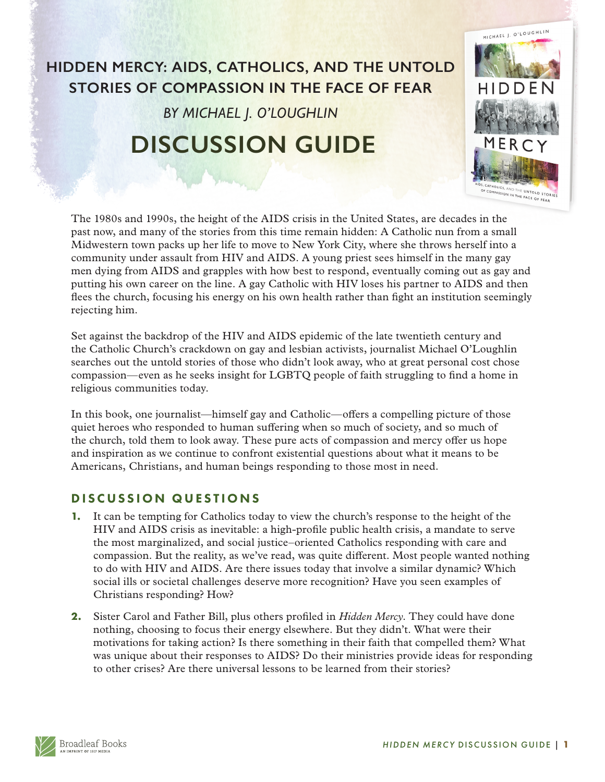## **HIDDEN MERCY: AIDS, CATHOLICS, AND THE UNTOLD STORIES OF COMPASSION IN THE FACE OF FEAR**

*BY MICHAEL J. O'LOUGHLIN*

## **DISCUSSION GUIDE**

The 1980s and 1990s, the height of the AIDS crisis in the United States, are decades in the past now, and many of the stories from this time remain hidden: A Catholic nun from a small Midwestern town packs up her life to move to New York City, where she throws herself into a community under assault from HIV and AIDS. A young priest sees himself in the many gay men dying from AIDS and grapples with how best to respond, eventually coming out as gay and putting his own career on the line. A gay Catholic with HIV loses his partner to AIDS and then flees the church, focusing his energy on his own health rather than fight an institution seemingly rejecting him.

Set against the backdrop of the HIV and AIDS epidemic of the late twentieth century and the Catholic Church's crackdown on gay and lesbian activists, journalist Michael O'Loughlin searches out the untold stories of those who didn't look away, who at great personal cost chose compassion—even as he seeks insight for LGBTQ people of faith struggling to find a home in religious communities today.

In this book, one journalist—himself gay and Catholic—offers a compelling picture of those quiet heroes who responded to human suffering when so much of society, and so much of the church, told them to look away. These pure acts of compassion and mercy offer us hope and inspiration as we continue to confront existential questions about what it means to be Americans, Christians, and human beings responding to those most in need.

## DISCUSSION QUESTIONS

- **1.** It can be tempting for Catholics today to view the church's response to the height of the HIV and AIDS crisis as inevitable: a high-profile public health crisis, a mandate to serve the most marginalized, and social justice–oriented Catholics responding with care and compassion. But the reality, as we've read, was quite different. Most people wanted nothing to do with HIV and AIDS. Are there issues today that involve a similar dynamic? Which social ills or societal challenges deserve more recognition? Have you seen examples of Christians responding? How?
- **2.** Sister Carol and Father Bill, plus others profiled in *Hidden Mercy*. They could have done nothing, choosing to focus their energy elsewhere. But they didn't. What were their motivations for taking action? Is there something in their faith that compelled them? What was unique about their responses to AIDS? Do their ministries provide ideas for responding to other crises? Are there universal lessons to be learned from their stories?



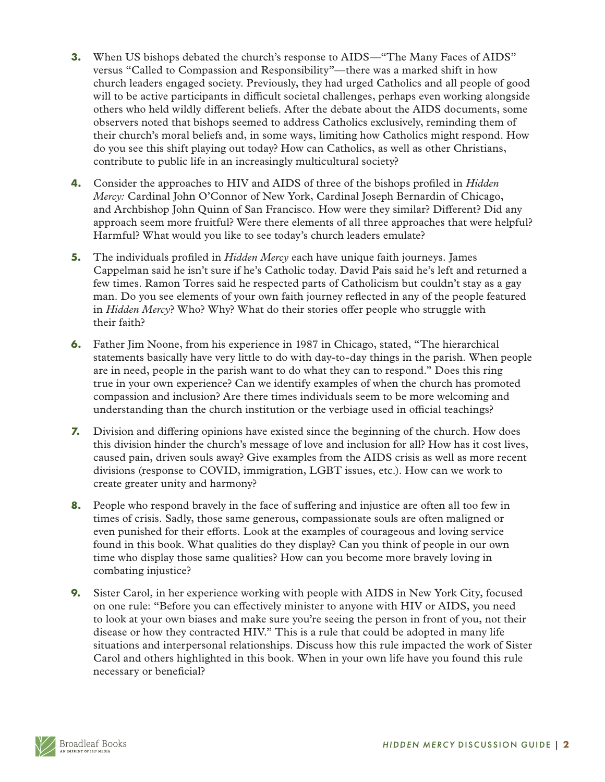- **3.** When US bishops debated the church's response to AIDS—"The Many Faces of AIDS" versus "Called to Compassion and Responsibility"—there was a marked shift in how church leaders engaged society. Previously, they had urged Catholics and all people of good will to be active participants in difficult societal challenges, perhaps even working alongside others who held wildly different beliefs. After the debate about the AIDS documents, some observers noted that bishops seemed to address Catholics exclusively, reminding them of their church's moral beliefs and, in some ways, limiting how Catholics might respond. How do you see this shift playing out today? How can Catholics, as well as other Christians, contribute to public life in an increasingly multicultural society?
- **4.** Consider the approaches to HIV and AIDS of three of the bishops profiled in *Hidden Mercy:* Cardinal John O'Connor of New York, Cardinal Joseph Bernardin of Chicago, and Archbishop John Quinn of San Francisco. How were they similar? Different? Did any approach seem more fruitful? Were there elements of all three approaches that were helpful? Harmful? What would you like to see today's church leaders emulate?
- **5.** The individuals profiled in *Hidden Mercy* each have unique faith journeys. James Cappelman said he isn't sure if he's Catholic today. David Pais said he's left and returned a few times. Ramon Torres said he respected parts of Catholicism but couldn't stay as a gay man. Do you see elements of your own faith journey reflected in any of the people featured in *Hidden Mercy*? Who? Why? What do their stories offer people who struggle with their faith?
- **6.** Father Jim Noone, from his experience in 1987 in Chicago, stated, "The hierarchical statements basically have very little to do with day-to-day things in the parish. When people are in need, people in the parish want to do what they can to respond." Does this ring true in your own experience? Can we identify examples of when the church has promoted compassion and inclusion? Are there times individuals seem to be more welcoming and understanding than the church institution or the verbiage used in official teachings?
- **7.** Division and differing opinions have existed since the beginning of the church. How does this division hinder the church's message of love and inclusion for all? How has it cost lives, caused pain, driven souls away? Give examples from the AIDS crisis as well as more recent divisions (response to COVID, immigration, LGBT issues, etc.). How can we work to create greater unity and harmony?
- **8.** People who respond bravely in the face of suffering and injustice are often all too few in times of crisis. Sadly, those same generous, compassionate souls are often maligned or even punished for their efforts. Look at the examples of courageous and loving service found in this book. What qualities do they display? Can you think of people in our own time who display those same qualities? How can you become more bravely loving in combating injustice?
- **9.** Sister Carol, in her experience working with people with AIDS in New York City, focused on one rule: "Before you can effectively minister to anyone with HIV or AIDS, you need to look at your own biases and make sure you're seeing the person in front of you, not their disease or how they contracted HIV." This is a rule that could be adopted in many life situations and interpersonal relationships. Discuss how this rule impacted the work of Sister Carol and others highlighted in this book. When in your own life have you found this rule necessary or beneficial?